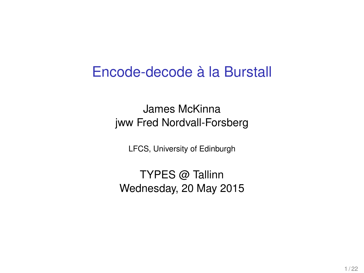#### Encode-decode à la Burstall

James McKinna jww Fred Nordvall-Forsberg

LFCS, University of Edinburgh

TYPES @ Tallinn Wednesday, 20 May 2015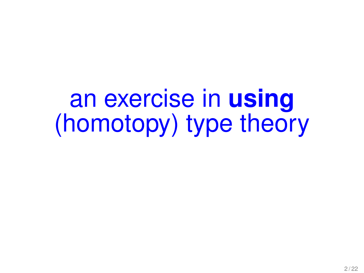an exercise in **using** (homotopy) type theory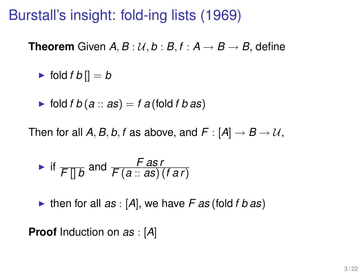Burstall's insight: fold-ing lists (1969)

**Theorem** Given  $A, B: U, b: B, f: A \rightarrow B \rightarrow B$ , define

$$
\blacktriangleright \text{ fold } f \, b[] = b
$$

► fold 
$$
f
$$
  $b$  ( $a$  ::  $as$ ) =  $f$   $a$  (fold  $f$   $b$  as)

Then for all  $A, B, b, f$  as above, and  $F : [A] \rightarrow B \rightarrow U$ ,

• if 
$$
\overline{F \parallel b}
$$
 and  $\frac{F \text{ as } r}{F(a::as)(far)}$ 

If then for all  $as: [A]$ , we have  $F$  as (fold  $f$   $b$  as)

**Proof** Induction on *as* : [*A*]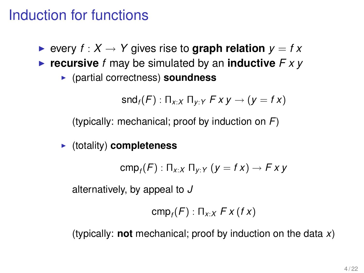### Induction for functions

**Example 3** every  $f : X \to Y$  gives rise to **graph relation**  $y = fx$ 

- $\triangleright$  **recursive** *f* may be simulated by an **inductive**  $\triangleright$   $\triangleright$   $\triangleright$ 
	- <sup>I</sup> (partial correctness) **soundness**

$$
\mathsf{snd}_f(F) : \Pi_{x:X} \Pi_{y:Y} Fxy \to (y = fx)
$$

(typically: mechanical; proof by induction on *F*)

#### $\blacktriangleright$  (totality) **completeness**

cmp*<sup>f</sup>* (*F*) : Π*x*:*<sup>X</sup>* Π*y*:*<sup>Y</sup>* (*y* = *f x*) → *F x y*

alternatively, by appeal to *J*

$$
\mathsf{cmp}_{f}(F):\Pi_{x:X} F x (fx)
$$

(typically: **not** mechanical; proof by induction on the data *x*)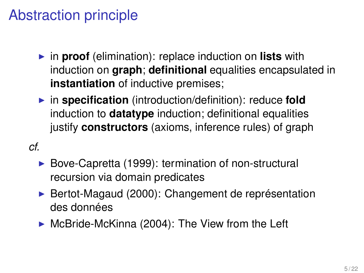## Abstraction principle

- **In proof** (elimination): replace induction on **lists** with induction on **graph**; **definitional** equalities encapsulated in **instantiation** of inductive premises;
- $\triangleright$  in **specification** (introduction/definition): reduce **fold** induction to **datatype** induction; definitional equalities justify **constructors** (axioms, inference rules) of graph
- *cf.*
	- $\triangleright$  Bove-Capretta (1999): termination of non-structural recursion via domain predicates
	- ▶ Bertot-Magaud (2000): Changement de représentation des données
	- $\triangleright$  McBride-McKinna (2004): The View from the Left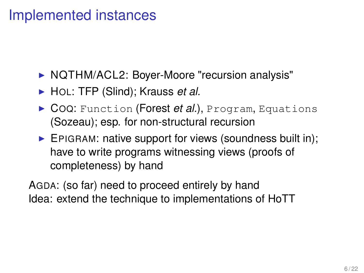#### Implemented instances

- ▶ NQTHM/ACL2: Boyer-Moore "recursion analysis"
- ► HOL: TFP (Slind); Krauss *et al.*
- ▶ COQ: Function (**Forest** *et al.*), Program, Equations (Sozeau); esp. for non-structural recursion
- $\blacktriangleright$  EPIGRAM: native support for views (soundness built in); have to write programs witnessing views (proofs of completeness) by hand

AGDA: (so far) need to proceed entirely by hand Idea: extend the technique to implementations of HoTT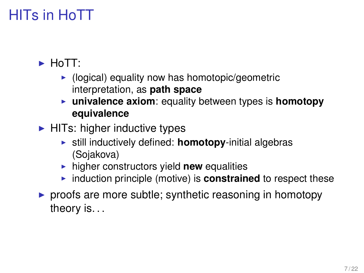## HITs in HoTT

#### $\blacktriangleright$  HoTT:

- $\blacktriangleright$  (logical) equality now has homotopic/geometric interpretation, as **path space**
- **Example 1** univalence axiom: equality between types is homotopy **equivalence**
- $\blacktriangleright$  HITs: higher inductive types
	- $\triangleright$  still inductively defined: **homotopy**-initial algebras (Sojakova)
	- **In higher constructors yield new equalities**
	- **Induction principle (motive) is constrained** to respect these
- $\triangleright$  proofs are more subtle; synthetic reasoning in homotopy theory is. . .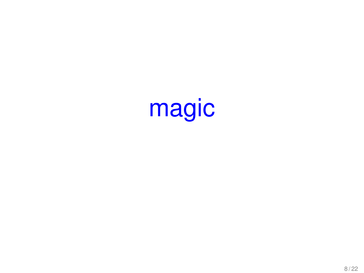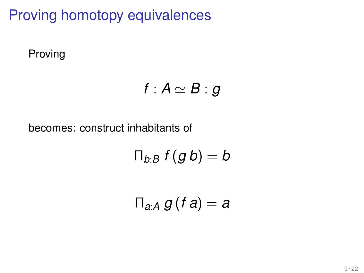## Proving homotopy equivalences

Proving

$$
f:A\simeq B:g
$$

becomes: construct inhabitants of

 $\Pi_{b:B} f(g b) = b$ 

$$
\Pi_{a:A} g(f a) = a
$$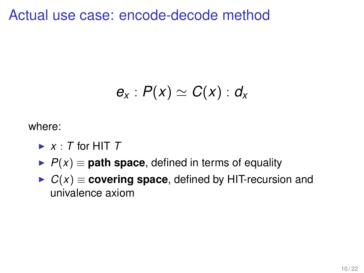Actual use case: encode-decode method

$$
e_x: P(x) \simeq C(x): d_x
$$

where:

- $\blacktriangleright$  *x* : *T* for HIT *T*
- $P(x) \equiv$  **path space**, defined in terms of equality
- $C(x) \equiv$  **covering space**, defined by HIT-recursion and univalence axiom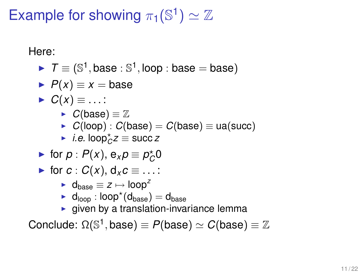## Example for showing  $\pi_1(\mathbb{S}^1) \simeq \mathbb{Z}$

Here:

 $\blacktriangleright$   $\mathcal{T} \equiv (\mathbb{S}^1, \text{base} : \mathbb{S}^1, \text{loop} : \text{base} = \text{base})$ 

$$
\blacktriangleright P(x) \equiv x = \text{base}
$$

$$
\blacktriangleright C(x) \equiv \ldots:
$$

$$
\blacktriangleright \hspace{.15cm} C(\text{base}) \equiv \mathbb{Z}
$$

- $\blacktriangleright$  *C*(loop) : *C*(base) = *C*(base) = ua(succ)
- $\rightarrow$  *i.e.* loop<sup>\*</sup> $\angle$ *z* ≡ succ *z*
- ► for  $p$  :  $P(x)$ ,  $e_x p \equiv p_C^* 0$

• for 
$$
c: C(x), d_x c \equiv \dots
$$
:

- $\blacktriangleright$  d<sub>hase</sub>  $\equiv$  *z*  $\mapsto$  loop<sup>2</sup>
- $\blacktriangleright$  d<sub>loop</sub> : loop $^\star(\mathsf{d}_{\text{base}}) = \mathsf{d}_{\text{base}}$
- $\blacktriangleright$  given by a translation-invariance lemma

 $\text{Conclude: } \Omega(\mathbb{S}^1, \text{base}) \equiv P(\text{base}) \simeq C(\text{base}) \equiv \mathbb{Z}$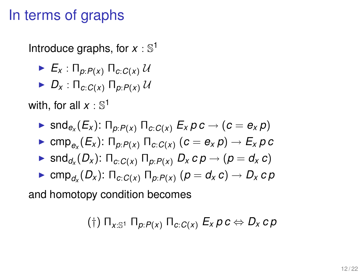### In terms of graphs

Introduce graphs, for  $x : \mathbb{S}^1$ 

- $\blacktriangleright$   $E_x$  :  $\prod_{p: P(x)}$   $\prod_{c: C(x)} U$
- $\blacktriangleright$  *D<sub>x</sub>* :  $\prod_{C \subset C(x)} \prod_{D \subset P(x)} U$

with, for all  $x:\mathbb{S}^1$ 

- $\blacktriangleright$  snd $_{e_{\mathsf{x}}}(E_{\mathsf{x}})$ : Π<sub>*p*:*P*(*x*)</sub> Π<sub>*c*:*C*(*x*)</sub>  $E_{\mathsf{x}}$   $\rho$   $c \rightarrow (c = e_{\mathsf{x}}$   $\rho)$
- $\blacktriangleright$  cmp $_{e_\mathcal{X}}(E_\mathcal{X})$ : Π $_{\mathcal{P}}$ : $\mathcal{P}(\mathcal{X})$  Π $_{\mathcal{C}:C(\mathcal{X})}$   $(c=e_\mathcal{X}\rho)\to E_\mathcal{X}\rho$  c
- $\blacktriangleright$  snd $_{d_{\mathsf{x}}}(D_{\mathsf{x}})$ : Π $_{c:C(\mathsf{x})}$  Π $_{p:P(\mathsf{x})}$   $D_{\mathsf{x}}$   $c$   $p \rightarrow (p=d_{\mathsf{x}} \, c)$
- $\blacktriangleright$  cmp $_{d_\mathcal{X}}(D_\mathcal{X})$ : Π $_{c:C(\mathcal{X})}$  Π $_{p:P(\mathcal{X})}$   $(p=d_\mathcal{X} \, c) \to D_\mathcal{X} \, c \, p$

and homotopy condition becomes

$$
(\dagger)\ \Pi_{x:\mathbb{S}^1}\ \Pi_{p:P(x)}\ \Pi_{c:C(x)}\ E_x\ p\ c\Leftrightarrow D_x\ c\ p
$$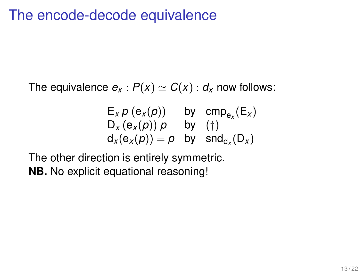### The encode-decode equivalence

The equivalence  $e_x$  :  $P(x) \simeq C(x)$  :  $d_x$  now follows:

$$
E_x p (e_x(p)) \t by \t comp_{e_x}(E_x) D_x (e_x(p)) p \t by \t (†)d_x(e_x(p)) = p \t by \t end_{d_x}(D_x)
$$

The other direction is entirely symmetric. **NB.** No explicit equational reasoning!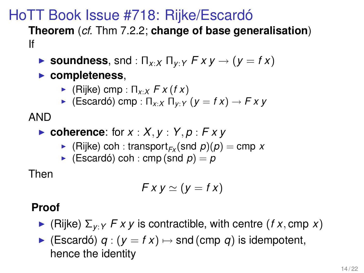#### HoTT Book Issue #718: Rijke/Escardó

**Theorem** (*cf.* Thm 7.2.2; **change of base generalisation**) If

- $\triangleright$  **soundness**, snd : Π<sub>*x*</sub>, *χ* Π<sub>*v*</sub>, *γ F x y*  $\rightarrow$  (*y* = *f x*)
- **Exampleteness,** 
	- $\blacktriangleright$  (Rijke) cmp :  $\Pi_{x \cdot x} F x$  (*f x*)
	- $\triangleright$  (Escardó) cmp :  $\Pi_{x \cdot x}$   $\Pi_{y \cdot y}$  ( $y = f x$ )  $\rightarrow$   $F x y$

AND

- $\triangleright$  **coherence**: for  $x : X, y : Y, p : Fxy$ 
	- $\blacktriangleright$  (Rijke) coh : transport<sub>*Fx*</sub> (snd *p*)(*p*) = cmp *x*
	- $\blacktriangleright$  (Escardó) coh : cmp (snd  $p$ ) = p

Then

$$
Fx y \simeq (y = fx)
$$

#### **Proof**

- $\blacktriangleright$  (Rijke)  $\Sigma_{V:Y}$  *F x y* is contractible, with centre (*f x*, cmp *x*)
- $\triangleright$  (Escardó) *q* : ( $y = fx$ )  $\mapsto$  snd (cmp *q*) is idempotent, hence the identity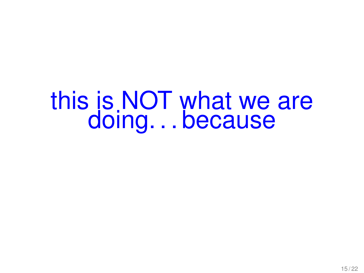# this is NOT what we are doing. . . because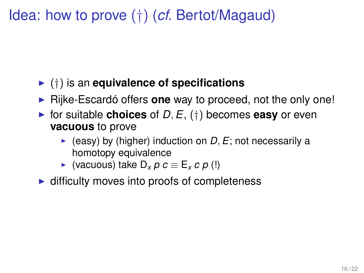Idea: how to prove (†) (*cf.* Bertot/Magaud)

#### <sup>I</sup> (†) is an **equivalence of specifications**

- **F** Rijke-Escardó offers **one** way to proceed, not the only one!
- $\triangleright$  for suitable **choices** of *D*, *E*, (†) becomes **easy** or even **vacuous** to prove
	- $\blacktriangleright$  (easy) by (higher) induction on *D*, *E*; not necessarily a homotopy equivalence
	- $\triangleright$  (vacuous) take D<sub>*x*</sub> *p c* ≡ E<sub>*x*</sub> *c p* (!)
- $\blacktriangleright$  difficulty moves into proofs of completeness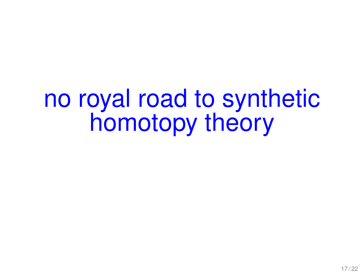# no royal road to synthetic homotopy theory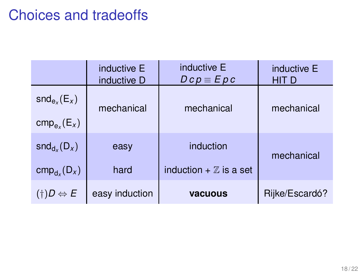### Choices and tradeoffs

|                                | inductive E<br>inductive D | inductive E<br>$Dcp \equiv Epc$   | inductive E<br><b>HIT D</b> |
|--------------------------------|----------------------------|-----------------------------------|-----------------------------|
| $\mathsf{snd}_{e_x}(E_x)$      | mechanical                 | mechanical                        | mechanical                  |
| $cmp_{ex}(E_x)$                |                            |                                   |                             |
| $\mathsf{snd}_{d_x}(D_x)$      | easy                       | induction                         | mechanical                  |
| $cmp_{d_x}(D_x)$               | hard                       | induction $+ \mathbb{Z}$ is a set |                             |
| $(\dagger)D \Leftrightarrow E$ | easy induction             | <b>vacuous</b>                    | Rijke/Escardó?              |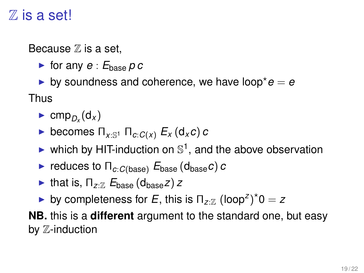### $\mathbb Z$  is a set!

Because  $\mathbb Z$  is a set,

 $\blacktriangleright$  for any  $e : E_{\text{base}} p c$ 

by soundness and coherence, we have loop<sup>\*</sup> $e = e$ Thus

- $\blacktriangleright$  cmp<sub>*D<sub>x</sub>*</sub>(d<sub>*x*</sub>)
- $\blacktriangleright$  becomes  $\Pi_{x:\mathbb{S}^1}$   $\Pi_{c:C(x)}$   $E_x$  (d<sub>x</sub>*c*) *c*
- ighthroportion on  $\mathbb{S}^1$ , and the above observation
- **Figure 1** reduces to  $\Pi_{c:C(\text{base})}$   $E_{\text{base}}(d_{\text{base}}c)$  *c*
- **I** that is,  $\Pi_{zZ}$   $E_{\text{base}}$  (d<sub>hase</sub>*z*) *z*
- by completeness for *E*, this is  $\Pi_{z:\mathbb{Z}}$  (loop<sup>z</sup>)<sup>\*</sup>0 = *z*

**NB.** this is a **different** argument to the standard one, but easy by Z-induction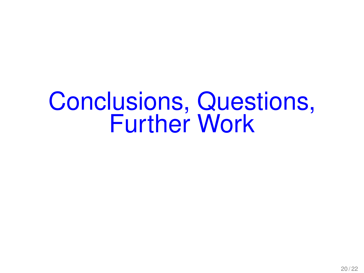# Conclusions, Questions, Further Work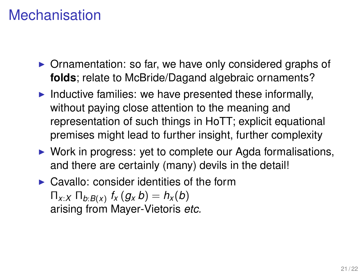### Mechanisation

- $\triangleright$  Ornamentation: so far, we have only considered graphs of **folds**; relate to McBride/Dagand algebraic ornaments?
- $\blacktriangleright$  Inductive families: we have presented these informally, without paying close attention to the meaning and representation of such things in HoTT; explicit equational premises might lead to further insight, further complexity
- $\triangleright$  Work in progress: yet to complete our Agda formalisations, and there are certainly (many) devils in the detail!
- $\triangleright$  Cavallo: consider identities of the form  $\Pi_{X:X}$   $\Pi_{b:B(X)}$   $f_X(g_Xb) = h_X(b)$ arising from Mayer-Vietoris *etc.*